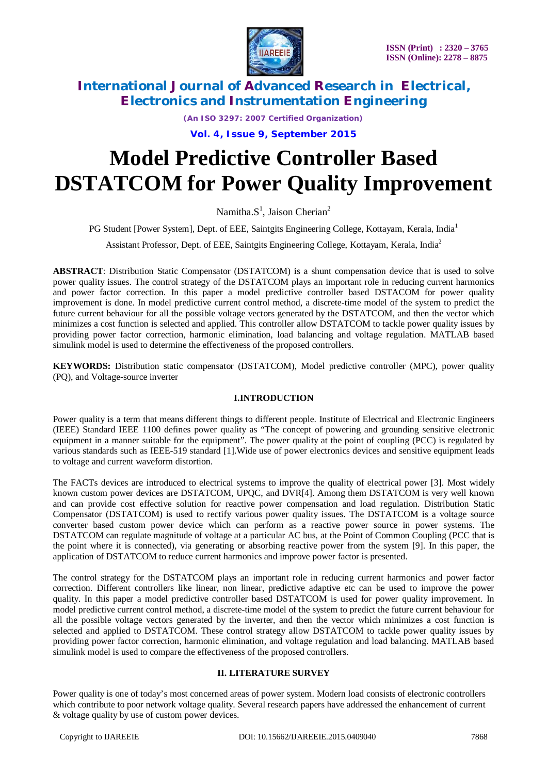

*(An ISO 3297: 2007 Certified Organization)*

**Vol. 4, Issue 9, September 2015**

# **Model Predictive Controller Based DSTATCOM for Power Quality Improvement**

Namitha. $S^1$ , Jaison Cherian<sup>2</sup>

PG Student [Power System], Dept. of EEE, Saintgits Engineering College, Kottayam, Kerala, India<sup>1</sup>

Assistant Professor, Dept. of EEE, Saintgits Engineering College, Kottayam, Kerala, India<sup>2</sup>

**ABSTRACT**: Distribution Static Compensator (DSTATCOM) is a shunt compensation device that is used to solve power quality issues. The control strategy of the DSTATCOM plays an important role in reducing current harmonics and power factor correction. In this paper a model predictive controller based DSTACOM for power quality improvement is done. In model predictive current control method, a discrete-time model of the system to predict the future current behaviour for all the possible voltage vectors generated by the DSTATCOM, and then the vector which minimizes a cost function is selected and applied. This controller allow DSTATCOM to tackle power quality issues by providing power factor correction, harmonic elimination, load balancing and voltage regulation. MATLAB based simulink model is used to determine the effectiveness of the proposed controllers.

**KEYWORDS:** Distribution static compensator (DSTATCOM), Model predictive controller (MPC), power quality (PQ), and Voltage-source inverter

### **I.INTRODUCTION**

Power quality is a term that means different things to different people. Institute of Electrical and Electronic Engineers (IEEE) Standard IEEE 1100 defines power quality as "The concept of powering and grounding sensitive electronic equipment in a manner suitable for the equipment". The power quality at the point of coupling (PCC) is regulated by various standards such as IEEE-519 standard [1].Wide use of power electronics devices and sensitive equipment leads to voltage and current waveform distortion.

The FACTs devices are introduced to electrical systems to improve the quality of electrical power [3]. Most widely known custom power devices are DSTATCOM, UPQC, and DVR[4]. Among them DSTATCOM is very well known and can provide cost effective solution for reactive power compensation and load regulation. Distribution Static Compensator (DSTATCOM) is used to rectify various power quality issues. The DSTATCOM is a voltage source converter based custom power device which can perform as a reactive power source in power systems. The DSTATCOM can regulate magnitude of voltage at a particular AC bus, at the Point of Common Coupling (PCC that is the point where it is connected), via generating or absorbing reactive power from the system [9]. In this paper, the application of DSTATCOM to reduce current harmonics and improve power factor is presented.

The control strategy for the DSTATCOM plays an important role in reducing current harmonics and power factor correction. Different controllers like linear, non linear, predictive adaptive etc can be used to improve the power quality. In this paper a model predictive controller based DSTATCOM is used for power quality improvement. In model predictive current control method, a discrete-time model of the system to predict the future current behaviour for all the possible voltage vectors generated by the inverter, and then the vector which minimizes a cost function is selected and applied to DSTATCOM. These control strategy allow DSTATCOM to tackle power quality issues by providing power factor correction, harmonic elimination, and voltage regulation and load balancing. MATLAB based simulink model is used to compare the effectiveness of the proposed controllers.

#### **II. LITERATURE SURVEY**

Power quality is one of today's most concerned areas of power system. Modern load consists of electronic controllers which contribute to poor network voltage quality. Several research papers have addressed the enhancement of current & voltage quality by use of custom power devices.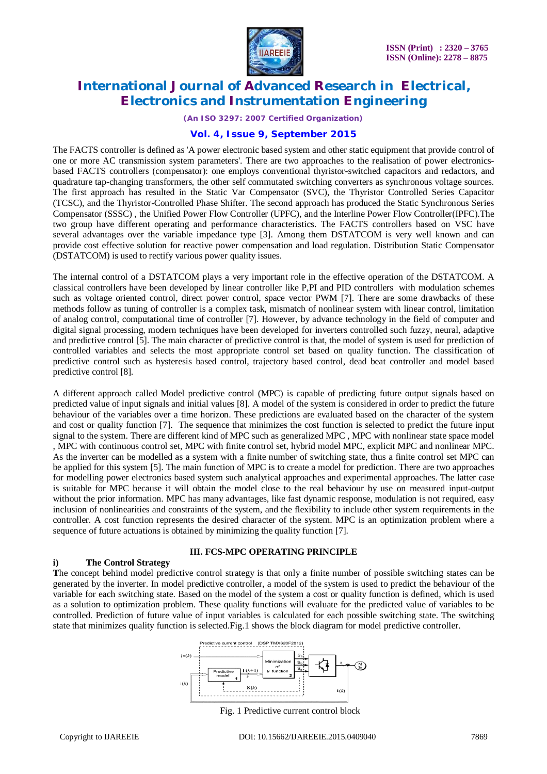

*(An ISO 3297: 2007 Certified Organization)*

### **Vol. 4, Issue 9, September 2015**

The FACTS controller is defined as 'A power electronic based system and other static equipment that provide control of one or more AC transmission system parameters'. There are two approaches to the realisation of power electronicsbased FACTS controllers (compensator): one employs conventional thyristor-switched capacitors and redactors, and quadrature tap-changing transformers, the other self commutated switching converters as synchronous voltage sources. The first approach has resulted in the Static Var Compensator (SVC), the Thyristor Controlled Series Capacitor (TCSC), and the Thyristor-Controlled Phase Shifter. The second approach has produced the Static Synchronous Series Compensator (SSSC) , the Unified Power Flow Controller (UPFC), and the Interline Power Flow Controller(IPFC).The two group have different operating and performance characteristics. The FACTS controllers based on VSC have several advantages over the variable impedance type [3]. Among them DSTATCOM is very well known and can provide cost effective solution for reactive power compensation and load regulation. Distribution Static Compensator (DSTATCOM) is used to rectify various power quality issues.

The internal control of a DSTATCOM plays a very important role in the effective operation of the DSTATCOM. A classical controllers have been developed by linear controller like P,PI and PID controllers with modulation schemes such as voltage oriented control, direct power control, space vector PWM [7]. There are some drawbacks of these methods follow as tuning of controller is a complex task, mismatch of nonlinear system with linear control, limitation of analog control, computational time of controller [7]. However, by advance technology in the field of computer and digital signal processing, modern techniques have been developed for inverters controlled such fuzzy, neural, adaptive and predictive control [5]. The main character of predictive control is that, the model of system is used for prediction of controlled variables and selects the most appropriate control set based on quality function. The classification of predictive control such as hysteresis based control, trajectory based control, dead beat controller and model based predictive control [8].

A different approach called Model predictive control (MPC) is capable of predicting future output signals based on predicted value of input signals and initial values [8]. A model of the system is considered in order to predict the future behaviour of the variables over a time horizon. These predictions are evaluated based on the character of the system and cost or quality function [7]. The sequence that minimizes the cost function is selected to predict the future input signal to the system. There are different kind of MPC such as generalized MPC , MPC with nonlinear state space model , MPC with continuous control set, MPC with finite control set, hybrid model MPC, explicit MPC and nonlinear MPC. As the inverter can be modelled as a system with a finite number of switching state, thus a finite control set MPC can be applied for this system [5]. The main function of MPC is to create a model for prediction. There are two approaches for modelling power electronics based system such analytical approaches and experimental approaches. The latter case is suitable for MPC because it will obtain the model close to the real behaviour by use on measured input-output without the prior information. MPC has many advantages, like fast dynamic response, modulation is not required, easy inclusion of nonlinearities and constraints of the system, and the flexibility to include other system requirements in the controller. A cost function represents the desired character of the system. MPC is an optimization problem where a sequence of future actuations is obtained by minimizing the quality function [7].

#### **III. FCS-MPC OPERATING PRINCIPLE**

#### **i) The Control Strategy**

**T**he concept behind model predictive control strategy is that only a finite number of possible switching states can be generated by the inverter. In model predictive controller, a model of the system is used to predict the behaviour of the variable for each switching state. Based on the model of the system a cost or quality function is defined, which is used as a solution to optimization problem. These quality functions will evaluate for the predicted value of variables to be controlled. Prediction of future value of input variables is calculated for each possible switching state. The switching state that minimizes quality function is selected.Fig.1 shows the block diagram for model predictive controller.



Fig. 1 Predictive current control block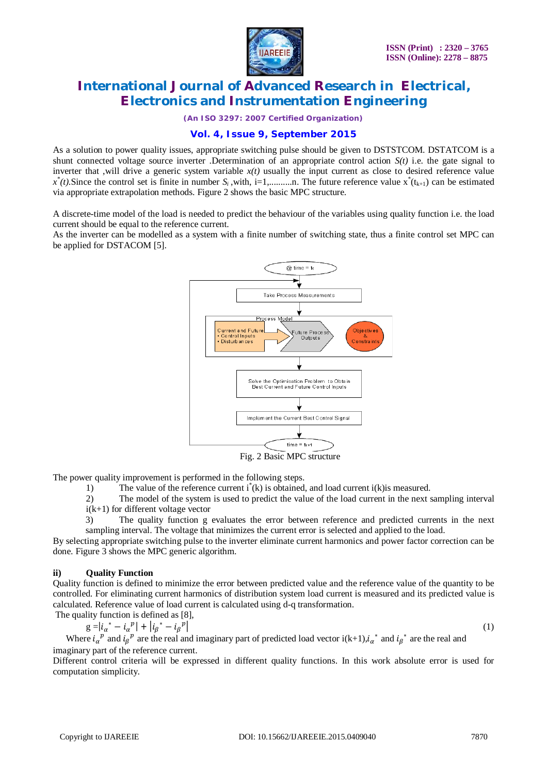

*(An ISO 3297: 2007 Certified Organization)*

### **Vol. 4, Issue 9, September 2015**

As a solution to power quality issues, appropriate switching pulse should be given to DSTSTCOM. DSTATCOM is a shunt connected voltage source inverter .Determination of an appropriate control action  $S(t)$  i.e. the gate signal to inverter that ,will drive a generic system variable  $x(t)$  usually the input current as close to desired reference value  $x^*(t)$ . Since the control set is finite in number  $S_i$ , with, i=1,...........n. The future reference value  $x^*(t_{k+1})$  can be estimated via appropriate extrapolation methods. Figure 2 shows the basic MPC structure.

A discrete-time model of the load is needed to predict the behaviour of the variables using quality function i.e. the load current should be equal to the reference current.

As the inverter can be modelled as a system with a finite number of switching state, thus a finite control set MPC can be applied for DSTACOM [5].



Fig. 2 Basic MPC structure

The power quality improvement is performed in the following steps.

1) The value of the reference current i<sup>\*</sup>(k) is obtained, and load current i(k) is measured.

2) The model of the system is used to predict the value of the load current in the next sampling interval i(k+1) for different voltage vector

3) The quality function g evaluates the error between reference and predicted currents in the next sampling interval. The voltage that minimizes the current error is selected and applied to the load.

By selecting appropriate switching pulse to the inverter eliminate current harmonics and power factor correction can be done. Figure 3 shows the MPC generic algorithm.

#### **ii) Quality Function**

Quality function is defined to minimize the error between predicted value and the reference value of the quantity to be controlled. For eliminating current harmonics of distribution system load current is measured and its predicted value is calculated. Reference value of load current is calculated using d-q transformation.

The quality function is defined as [8],  
\n
$$
g = |i_{\alpha}^* - i_{\alpha}^*|^2 + |i_{\beta}^* - i_{\beta}^*|^2
$$

 $(1)$ 

Where  $i_{\alpha}^{\ \ p}$  and  $i_{\beta}^{\ \ p}$  are the real and imaginary part of predicted load vector  $i(k+1), i_{\alpha}^{\ \ *}$  and  $i_{\beta}^{\ \ *}$  are the real and imaginary part of the reference current.

Different control criteria will be expressed in different quality functions. In this work absolute error is used for computation simplicity.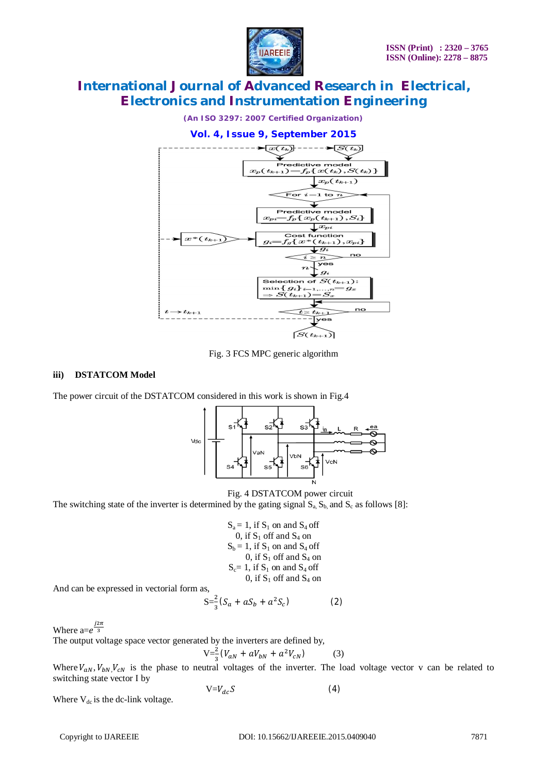



Fig. 3 FCS MPC generic algorithm

### **iii) DSTATCOM Model**

The power circuit of the DSTATCOM considered in this work is shown in Fig.4



Fig. 4 DSTATCOM power circuit

The switching state of the inverter is determined by the gating signal  $S_a$ ,  $S_b$  and  $S_c$  as follows [8]:

$$
S_a = 1, if S_1 on and S_4 off0, if S_1 off and S_4 onS_b = 1, if S_1 on and S_4 off0, if S_1 off and S_4 onS_c = 1, if S_1 on and S_4 off0, if S_1 off and S_4 on
$$

And can be expressed in vectorial form as,

$$
S = \frac{2}{3}(S_a + aS_b + a^2S_c)
$$
 (2)

Where  $a=e^{\frac{j2\pi}{3}}$ 

The output voltage space vector generated by the inverters are defined by,

$$
V = \frac{2}{3}(V_{aN} + aV_{bN} + a^2V_{cN})
$$
 (3)

Where  $V_{aN}$ ,  $V_{bN}$ ,  $V_{CN}$  is the phase to neutral voltages of the inverter. The load voltage vector v can be related to switching state vector I by

$$
V = V_{dc} S \tag{4}
$$

Where  $V_{dc}$  is the dc-link voltage.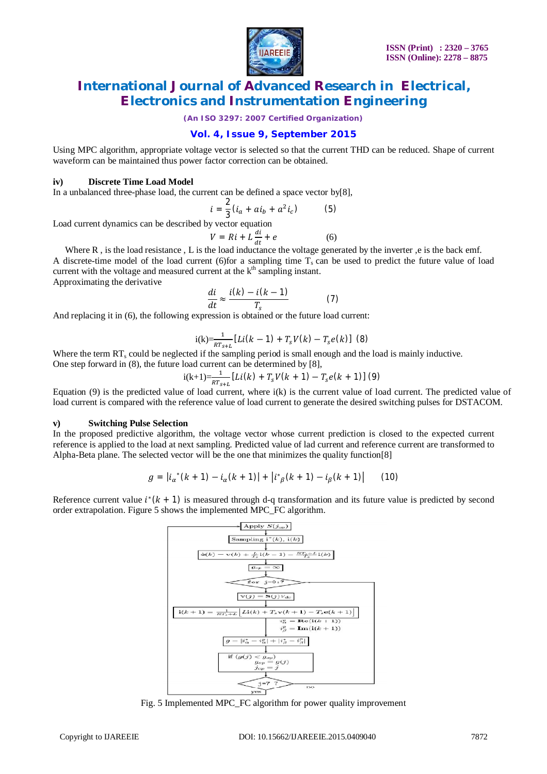

*(An ISO 3297: 2007 Certified Organization)*

### **Vol. 4, Issue 9, September 2015**

Using MPC algorithm, appropriate voltage vector is selected so that the current THD can be reduced. Shape of current waveform can be maintained thus power factor correction can be obtained.

#### **iv) Discrete Time Load Model**

In a unbalanced three-phase load, the current can be defined a space vector by[8],

$$
i = \frac{2}{3}(i_a + ai_b + a^2 i_c)
$$
 (5)

Load current dynamics can be described by vector equation

$$
V = Ri + L \frac{di}{dt} + e
$$
 (6)

Where R, is the load resistance, L is the load inductance the voltage generated by the inverter, e is the back emf.

A discrete-time model of the load current (6)for a sampling time  $T_s$  can be used to predict the future value of load current with the voltage and measured current at the  $k<sup>th</sup>$  sampling instant.

Approximating the derivative

$$
\frac{di}{dt} \approx \frac{i(k) - i(k-1)}{T_s} \tag{7}
$$

And replacing it in (6), the following expression is obtained or the future load current:

$$
i(k) = \frac{1}{RT_{s+L}} [Li(k-1) + T_s V(k) - T_s e(k)]
$$
 (8)

Where the term  $RT_s$  could be neglected if the sampling period is small enough and the load is mainly inductive. One step forward in (8), the future load current can be determined by [8],

$$
i(k+1)=\frac{1}{RT_{c+1}}[Li(k) + T_sV(k+1) - T_se(k+1)]
$$
 (9)

Equation  $(9)$  is the predicted value of load current, where  $i(k)$  is the current value of load current. The predicted value of load current is compared with the reference value of load current to generate the desired switching pulses for DSTACOM.

#### **v) Switching Pulse Selection**

In the proposed predictive algorithm, the voltage vector whose current prediction is closed to the expected current reference is applied to the load at next sampling. Predicted value of lad current and reference current are transformed to Alpha-Beta plane. The selected vector will be the one that minimizes the quality function[8]

$$
g = |i_{\alpha}^*(k+1) - i_{\alpha}(k+1)| + |i_{\beta}^*(k+1) - i_{\beta}(k+1)| \qquad (10)
$$

Reference current value  $i^*(k + 1)$  is measured through d-q transformation and its future value is predicted by second order extrapolation. Figure 5 shows the implemented MPC\_FC algorithm.



Fig. 5 Implemented MPC\_FC algorithm for power quality improvement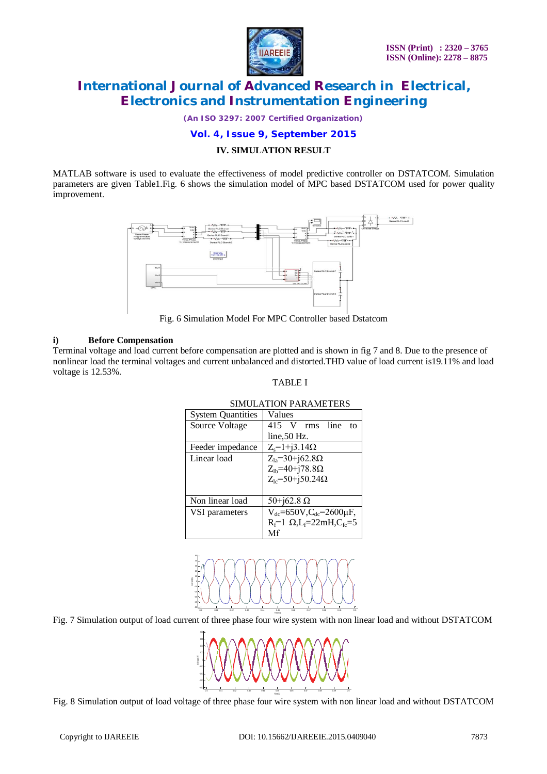

*(An ISO 3297: 2007 Certified Organization)*

#### **Vol. 4, Issue 9, September 2015**

#### **IV. SIMULATION RESULT**

MATLAB software is used to evaluate the effectiveness of model predictive controller on DSTATCOM. Simulation parameters are given Table1.Fig. 6 shows the simulation model of MPC based DSTATCOM used for power quality improvement.



Fig. 6 Simulation Model For MPC Controller based Dstatcom

#### **i) Before Compensation**

Terminal voltage and load current before compensation are plotted and is shown in fig 7 and 8. Due to the presence of nonlinear load the terminal voltages and current unbalanced and distorted.THD value of load current is19.11% and load voltage is 12.53%.

#### TABLE I

| <b>System Quantities</b> | Values                                    |
|--------------------------|-------------------------------------------|
|                          |                                           |
| Source Voltage           | 415 V rms<br>line<br>to                   |
|                          | line, 50 Hz.                              |
| Feeder impedance         | $Z_s = 1 + j3.14 \Omega$                  |
| Linear load              | $Z_{1a} = 30 + j62.8\Omega$               |
|                          | $Z_{lb} = 40 + j78.8\Omega$               |
|                          | $Z_{1c} = 50 + j50.24 \Omega$             |
|                          |                                           |
| Non linear load          | 50+j62.8 $\Omega$                         |
| VSI parameters           | $V_{dc} = 650V$ , $C_{dc} = 2600 \mu F$ , |
|                          | $R_f=1$ $\Omega$ , $L_f=22$ mH, $C_f = 5$ |
|                          | Mf                                        |

#### SIMULATION PARAMETERS



Fig. 7 Simulation output of load current of three phase four wire system with non linear load and without DSTATCOM



Fig. 8 Simulation output of load voltage of three phase four wire system with non linear load and without DSTATCOM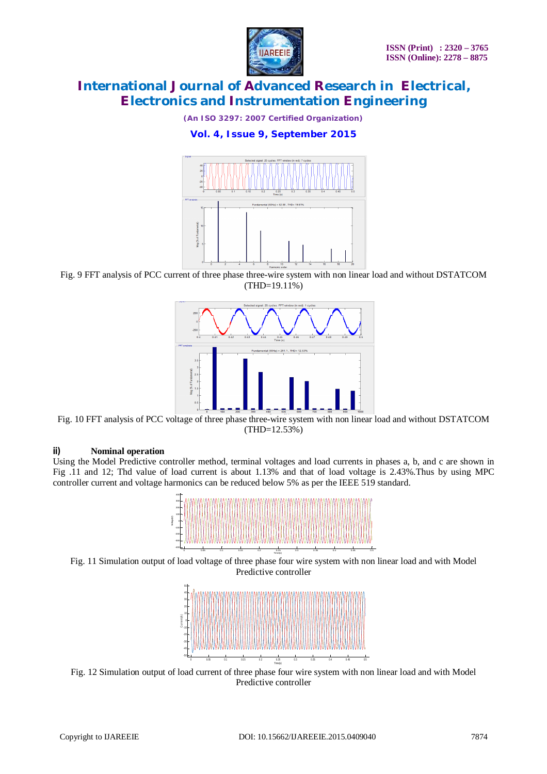

*(An ISO 3297: 2007 Certified Organization)*

### **Vol. 4, Issue 9, September 2015**



Fig. 9 FFT analysis of PCC current of three phase three-wire system with non linear load and without DSTATCOM (THD=19.11%)



Fig. 10 FFT analysis of PCC voltage of three phase three-wire system with non linear load and without DSTATCOM (THD=12.53%)

#### **ii) Nominal operation**

Using the Model Predictive controller method, terminal voltages and load currents in phases a, b, and c are shown in Fig .11 and 12; Thd value of load current is about 1.13% and that of load voltage is 2.43%.Thus by using MPC controller current and voltage harmonics can be reduced below 5% as per the IEEE 519 standard.







Fig. 12 Simulation output of load current of three phase four wire system with non linear load and with Model Predictive controller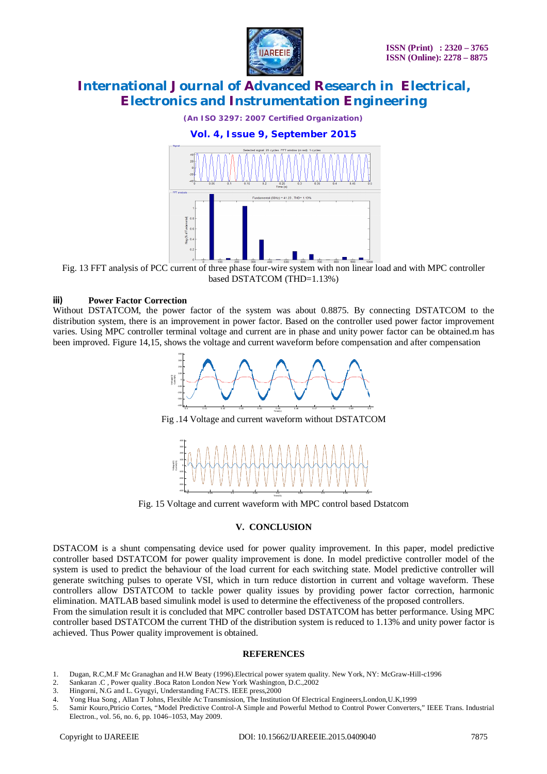

*(An ISO 3297: 2007 Certified Organization)*



Fig. 13 FFT analysis of PCC current of three phase four-wire system with non linear load and with MPC controller based DSTATCOM (THD=1.13%)

#### **iii) Power Factor Correction**

Without DSTATCOM, the power factor of the system was about 0.8875. By connecting DSTATCOM to the distribution system, there is an improvement in power factor. Based on the controller used power factor improvement varies. Using MPC controller terminal voltage and current are in phase and unity power factor can be obtained.m has been improved. Figure 14,15, shows the voltage and current waveform before compensation and after compensation



Fig. 15 Voltage and current waveform with MPC control based Dstatcom

### **V. CONCLUSION**

DSTACOM is a shunt compensating device used for power quality improvement. In this paper, model predictive controller based DSTATCOM for power quality improvement is done. In model predictive controller model of the system is used to predict the behaviour of the load current for each switching state. Model predictive controller will generate switching pulses to operate VSI, which in turn reduce distortion in current and voltage waveform. These controllers allow DSTATCOM to tackle power quality issues by providing power factor correction, harmonic elimination. MATLAB based simulink model is used to determine the effectiveness of the proposed controllers.

From the simulation result it is concluded that MPC controller based DSTATCOM has better performance. Using MPC controller based DSTATCOM the current THD of the distribution system is reduced to 1.13% and unity power factor is achieved. Thus Power quality improvement is obtained.

#### **REFERENCES**

- 1. Dugan, R.C,M.F Mc Granaghan and H.W Beaty (1996).Electrical power syatem quality. New York, NY: McGraw-Hill-c1996
- 2. Sankaran .C , Power quality .Boca Raton London New York Washington, D.C., 2002<br>3. Hingorni, N.G and L. Gyugyi, Understanding FACTS. IEEE press, 2000
- Hingorni, N.G and L. Gyugyi, Understanding FACTS. IEEE press,2000
- 4. Yong Hua Song , Allan T Johns, Flexible Ac Transmission, The Institution Of Electrical Engineers,London,U.K,1999
- 5. Samir Kouro,Ptricio Cortes, "Model Predictive Control-A Simple and Powerful Method to Control Power Converters," IEEE Trans. Industrial Electron., vol. 56, no. 6, pp. 1046–1053, May 2009.